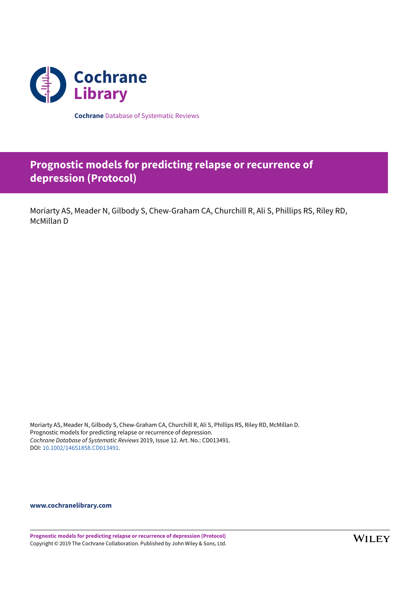

**Cochrane** Database of Systematic Reviews

# **Prognostic models for predicting relapse or recurrence of depression (Protocol)**

Moriarty AS, Meader N, Gilbody S, Chew-Graham CA, Churchill R, Ali S, Phillips RS, Riley RD, McMillan D

Moriarty AS, Meader N, Gilbody S, Chew-Graham CA, Churchill R, Ali S, Phillips RS, Riley RD, McMillan D. Prognostic models for predicting relapse or recurrence of depression. *Cochrane Database of Systematic Reviews* 2019, Issue 12. Art. No.: CD013491. DOI: [10.1002/14651858.CD013491](https://doi.org/10.1002%2F14651858.CD013491).

**[www.cochranelibrary.com](https://www.cochranelibrary.com)**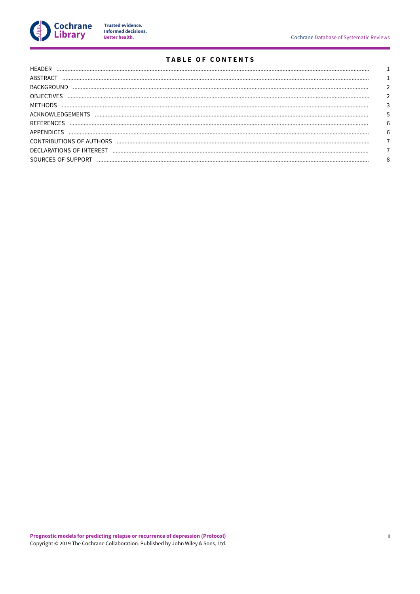

Trusted evidence.<br>Informed decisions.<br>Better health.

# TABLE OF CONTENTS

| HEADER                   |   |
|--------------------------|---|
| ABSTRACT                 |   |
| <b>BACKGROUND</b>        |   |
| <b>OBJECTIVES</b>        |   |
| <b>METHODS</b>           |   |
| ACKNOWLEDGEMENTS         |   |
| <b>REFERENCES</b>        | 6 |
| APPENDICES               | 6 |
| CONTRIBUTIONS OF AUTHORS |   |
|                          |   |
| SOURCES OF SUPPORT       | 8 |
|                          |   |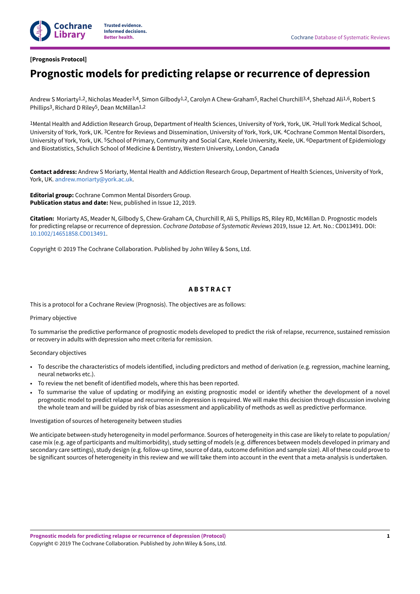

# <span id="page-2-0"></span>**[Prognosis Protocol]**

# **Prognostic models for predicting relapse or recurrence of depression**

Andrew S Moriarty<sup>1,2</sup>, Nicholas Meader<sup>3,4</sup>, Simon Gilbody<sup>1,2</sup>, Carolyn A Chew-Graham<sup>5</sup>, Rachel Churchill<sup>3,4</sup>, Shehzad Ali<sup>1,6</sup>, Robert S Phillips<sup>3</sup>, Richard D Riley<sup>5</sup>, Dean McMillan<sup>1,2</sup>

<sup>1</sup>Mental Health and Addiction Research Group, Department of Health Sciences, University of York, York, UK. <sup>2</sup>Hull York Medical School, University of York, York, UK. <sup>3</sup>Centre for Reviews and Dissemination, University of York, York, UK. <sup>4</sup>Cochrane Common Mental Disorders, University of York, York, UK. <sup>5</sup>School of Primary, Community and Social Care, Keele University, Keele, UK. <sup>6</sup>Department of Epidemiology and Biostatistics, Schulich School of Medicine & Dentistry, Western University, London, Canada

**Contact address:** Andrew S Moriarty, Mental Health and Addiction Research Group, Department of Health Sciences, University of York, York, UK. [andrew.moriarty@york.ac.uk.](mailto:andrew.moriarty@york.ac.uk)

**Editorial group:** Cochrane Common Mental Disorders Group. **Publication status and date:** New, published in Issue 12, 2019.

**Citation:** Moriarty AS, Meader N, Gilbody S, Chew-Graham CA, Churchill R, Ali S, Phillips RS, Riley RD, McMillan D. Prognostic models for predicting relapse or recurrence of depression. *Cochrane Database of Systematic Reviews* 2019, Issue 12. Art. No.: CD013491. DOI: [10.1002/14651858.CD013491](https://doi.org/10.1002%2F14651858.CD013491).

Copyright © 2019 The Cochrane Collaboration. Published by John Wiley & Sons, Ltd.

# **A B S T R A C T**

<span id="page-2-1"></span>This is a protocol for a Cochrane Review (Prognosis). The objectives are as follows:

Primary objective

To summarise the predictive performance of prognostic models developed to predict the risk of relapse, recurrence, sustained remission or recovery in adults with depression who meet criteria for remission.

Secondary objectives

- To describe the characteristics of models identified, including predictors and method of derivation (e.g. regression, machine learning, neural networks etc.).
- To review the net benefit of identified models, where this has been reported.
- To summarise the value of updating or modifying an existing prognostic model or identify whether the development of a novel prognostic model to predict relapse and recurrence in depression is required. We will make this decision through discussion involving the whole team and will be guided by risk of bias assessment and applicability of methods as well as predictive performance.

#### Investigation of sources of heterogeneity between studies

We anticipate between-study heterogeneity in model performance. Sources of heterogeneity in this case are likely to relate to population/ case mix (e.g. age of participants and multimorbidity), study setting of models (e.g. differences between models developed in primary and secondary care settings), study design (e.g. follow-up time, source of data, outcome definition and sample size). All of these could prove to be significant sources of heterogeneity in this review and we will take them into account in the event that a meta-analysis is undertaken.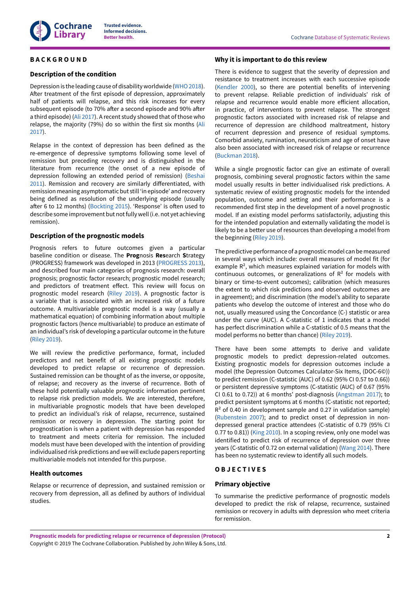

# <span id="page-3-0"></span>**B A C K G R O U N D**

# **Description of the condition**

Depression is the leading cause of disability worldwide [\(WHO 2018\)](#page-7-2). After treatment of the first episode of depression, approximately half of patients will relapse, and this risk increases for every subsequent episode (to 70% after a second episode and 90% after a third episode) [\(Ali 2017\)](#page-7-3). A recent study showed that of those who relapse, the majority (79%) do so within the first six months [\(Ali](#page-7-3) [2017](#page-7-3)).

Relapse in the context of depression has been defined as the re-emergence of depressive symptoms following some level of remission but preceding recovery and is distinguished in the literature from recurrence (the onset of a new episode of depression following an extended period of remission) [\(Beshai](#page-7-4)  $2011$ ). Remission and recovery are similarly differentiated, with remission meaning asymptomatic but still 'in episode' and recovery being defined as resolution of the underlying episode (usually after 6 to 12 months) ([Bockting](#page-7-5) 2015). 'Response' is often used to describe some improvement but not fully well (i.e. not yet achieving remission).

# **Description of the prognostic models**

Prognosis refers to future outcomes given a particular baseline condition or disease. The **Prog**nosis **Res**earch **S**trategy (PROGRESS) framework was developed in 2013 ([PROGRESS](#page-7-6) 2013), and described four main categories of prognosis research: overall prognosis; prognostic factor research; prognostic model research; and predictors of treatment effect. This review will focus on prognostic model research ([Riley](#page-7-7) 2019). A prognostic factor is a variable that is associated with an increased risk of a future outcome. A multivariable prognostic model is a way (usually a mathematical equation) of combining information about multiple prognostic factors (hence multivariable) to produce an estimate of an individual's risk of developing a particular outcome in the future [\(Riley](#page-7-7) 2019).

We will review the predictive performance, format, included predictors and net benefit of all existing prognostic models developed to predict relapse or recurrence of depression. Sustained remission can be thought of as the inverse, or opposite, of relapse; and recovery as the inverse of recurrence. Both of these hold potentially valuable prognostic information pertinent to relapse risk prediction models. We are interested, therefore, in multivariable prognostic models that have been developed to predict an individual's risk of relapse, recurrence, sustained remission or recovery in depression. The starting point for prognostication is when a patient with depression has responded to treatment and meets criteria for remission. The included models must have been developed with the intention of providing individualised risk predictions and we will exclude papers reporting multivariable models not intended for this purpose.

# **Health outcomes**

Relapse or recurrence of depression, and sustained remission or recovery from depression, all as defined by authors of individual studies.

## **Why it is important to do this review**

There is evidence to suggest that the severity of depression and resistance to treatment increases with each successive episode [\(Kendler](#page-7-8) 2000), so there are potential benefits of intervening to prevent relapse. Reliable prediction of individuals' risk of relapse and recurrence would enable more efficient allocation, in practice, of interventions to prevent relapse. The strongest prognostic factors associated with increased risk of relapse and recurrence of depression are childhood maltreatment, history of recurrent depression and presence of residual symptoms. Comorbid anxiety, rumination, neuroticism and age of onset have also been associated with increased risk of relapse or recurrence [\(Buckman 2018\)](#page-7-9).

While a single prognostic factor can give an estimate of overall prognosis, combining several prognostic factors within the same model usually results in better individualised risk predictions. A systematic review of existing prognostic models for the intended population, outcome and setting and their performance is a recommended first step in the development of a novel prognostic model. If an existing model performs satisfactorily, adjusting this for the intended population and externally validating the model is likely to be a better use of resources than developing a model from the beginning [\(Riley](#page-7-7) 2019).

The predictive performance of a prognostic model can be measured in several ways which include: overall measures of model fit (for example  $\mathbb{R}^2$ , which measures explained variation for models with continuous outcomes, or generalizations of  $R<sup>2</sup>$  for models with binary or time-to-event outcomes); calibration (which measures the extent to which risk predictions and observed outcomes are in agreement); and discrimination (the model's ability to separate patients who develop the outcome of interest and those who do not, usually measured using the Concordance (C-) statistic or area under the curve (AUC). A C-statistic of 1 indicates that a model has perfect discrimination while a C-statistic of 0.5 means that the model performs no better than chance) [\(Riley](#page-7-7) 2019).

There have been some attempts to derive and validate prognostic models to predict depression-related outcomes. Existing prognostic models for depression outcomes include a model (the Depression Outcomes Calculator-Six Items, (DOC-6©)) to predict remission (C-statistic (AUC) of 0.62 (95% CI 0.57 to 0.66)) or persistent depressive symptoms (C-statistic (AUC) of 0.67 (95% CI 0.61 to 0.72)) at 6 months' post-diagnosis ([Angstman](#page-7-10) 2017); to predict persistent symptoms at 6 months (C-statistic not reported;  $R<sup>2</sup>$  of 0.40 in development sample and 0.27 in validation sample) [\(Rubenstein](#page-7-11) 2007); and to predict onset of depression in nondepressed general practice attendees (C-statistic of 0.79 (95% CI 0.77 to 0.81)) ([King 2010\)](#page-7-12). In a scoping review, only one model was identified to predict risk of recurrence of depression over three years (C-statistic of 0.72 on external validation) ([Wang](#page-7-13) 2014). There has been no systematic review to identify all such models.

# <span id="page-3-1"></span>**O B J E C T I V E S**

# **Primary objective**

To summarise the predictive performance of prognostic models developed to predict the risk of relapse, recurrence, sustained remission or recovery in adults with depression who meet criteria for remission.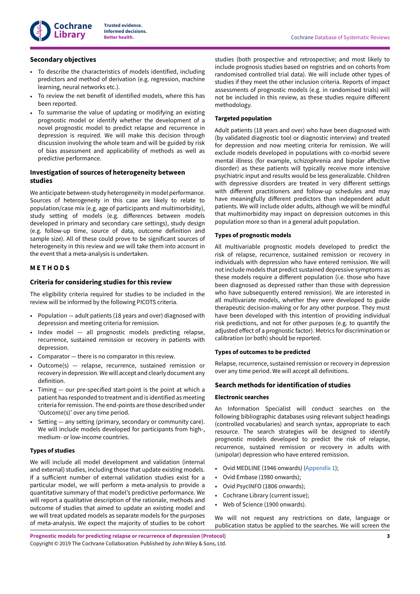# **Secondary objectives**

- To describe the characteristics of models identified, including predictors and method of derivation (e.g. regression, machine learning, neural networks etc.).
- To review the net benefit of identified models, where this has been reported.
- To summarise the value of updating or modifying an existing prognostic model or identify whether the development of a novel prognostic model to predict relapse and recurrence in depression is required. We will make this decision through discussion involving the whole team and will be guided by risk of bias assessment and applicability of methods as well as predictive performance.

# **Investigation of sources of heterogeneity between studies**

We anticipate between-study heterogeneity in model performance. Sources of heterogeneity in this case are likely to relate to population/case mix (e.g. age of participants and multimorbidity), study setting of models (e.g. differences between models developed in primary and secondary care settings), study design (e.g. follow-up time, source of data, outcome definition and sample size). All of these could prove to be significant sources of heterogeneity in this review and we will take them into account in the event that a meta-analysis is undertaken.

# <span id="page-4-0"></span>**M E T H O D S**

# **Criteria for considering studies for this review**

The eligibility criteria required for studies to be included in the review will be informed by the following PICOTS criteria.

- Population adult patients (18 years and over) diagnosed with depression and meeting criteria for remission.
- Index model  $-$  all prognostic models predicting relapse, recurrence, sustained remission or recovery in patients with depression.
- Comparator there is no comparator in this review.
- Outcome(s) relapse, recurrence, sustained remission or recovery in depression.We will accept and clearly document any definition.
- Timing our pre-specified start-point is the point at which a patient has responded to treatment and is identified as meeting criteria for remission. The end-points are those described under 'Outcome(s)' over any time period.
- Setting any setting (primary, secondary or community care). We will include models developed for participants from high-, medium- or low-income countries.

# **Types of studies**

We will include all model development and validation (internal and external) studies, including those that update existing models. If a sufficient number of external validation studies exist for a particular model, we will perform a meta-analysis to provide a quantitative summary of that model's predictive performance. We will report a qualitative description of the rationale, methods and outcome of studies that aimed to update an existing model and we will treat updated models as separate models for the purposes of meta-analysis. We expect the majority of studies to be cohort

studies (both prospective and retrospective; and most likely to include prognosis studies based on registries and on cohorts from randomised controlled trial data). We will include other types of studies if they meet the other inclusion criteria. Reports of impact assessments of prognostic models (e.g. in randomised trials) will not be included in this review, as these studies require different methodology.

#### **Targeted population**

Adult patients (18 years and over) who have been diagnosed with (by validated diagnostic tool or diagnostic interview) and treated for depression and now meeting criteria for remission. We will exclude models developed in populations with co-morbid severe mental illness (for example, schizophrenia and bipolar affective disorder) as these patients will typically receive more intensive psychiatric input and results would be less generalizable. Children with depressive disorders are treated in very different settings with different practitioners and follow-up schedules and may have meaningfully different predictors than independent adult patients. We will include older adults, although we will be mindful that multimorbidity may impact on depression outcomes in this population more so than in a general adult population.

## **Types of prognostic models**

All multivariable prognostic models developed to predict the risk of relapse, recurrence, sustained remission or recovery in individuals with depression who have entered remission. We will not include models that predict sustained depressive symptoms as these models require a different population (i.e. those who have been diagnosed as depressed rather than those with depression who have subsequently entered remission). We are interested in all multivariate models, whether they were developed to guide therapeutic decision-making or for any other purpose. They must have been developed with this intention of providing individual risk predictions, and not for other purposes (e.g. to quantify the adjusted effect of a prognostic factor). Metrics for discrimination or calibration (or both) should be reported.

#### **Types of outcomes to be predicted**

Relapse, recurrence, sustained remission or recovery in depression over any time period. We will accept all definitions.

# **Search methods for identification of studies**

#### **Electronic searches**

An Information Specialist will conduct searches on the following bibliographic databases using relevant subject headings (controlled vocabularies) and search syntax, appropriate to each resource. The search strategies will be designed to identify prognostic models developed to predict the risk of relapse, recurrence, sustained remission or recovery in adults with (unipolar) depression who have entered remission.

- Ovid MEDLINE (1946 onwards) [\(Appendix 1](#page-7-14));
- Ovid Embase (1980 onwards);
- Ovid PsycINFO (1806 onwards);
- Cochrane Library (current issue);
- Web of Science (1900 onwards).

We will not request any restrictions on date, language or publication status be applied to the searches. We will screen the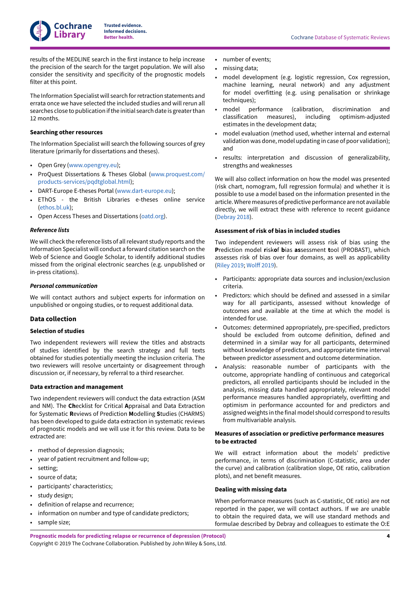results of the MEDLINE search in the first instance to help increase the precision of the search for the target population. We will also consider the sensitivity and specificity of the prognostic models filter at this point.

The Information Specialist will search forretraction statements and errata once we have selected the included studies and will rerun all searches close to publication ifthe initial search date is greaterthan 12 months.

#### **Searching other resources**

The Information Specialist will search the following sources of grey literature (primarily for dissertations and theses).

- Open Grey ([www.opengrey.eu\)](http://www.opengrey.eu/);
- ProQuest Dissertations & Theses Global ([www.proquest.com/](http://www.proquest.com/products-services/pqdtglobal.html) [products-services/pqdtglobal.html\)](http://www.proquest.com/products-services/pqdtglobal.html);
- DART-Europe E-theses Portal ([www.dart-europe.eu](http://www.dart-europe.eu/));
- EThOS the British Libraries e-theses online service ([ethos.bl.uk\)](http://ethos.bl.uk/);
- Open Access Theses and Dissertations [\(oatd.org](http://oatd.org)).

#### *Reference lists*

We will check the reference lists of all relevant study reports and the Information Specialist will conduct a forward citation search on the Web of Science and Google Scholar, to identify additional studies missed from the original electronic searches (e.g. unpublished or in-press citations).

#### *Personal communication*

We will contact authors and subject experts for information on unpublished or ongoing studies, or to request additional data.

# **Data collection**

### **Selection of studies**

Two independent reviewers will review the titles and abstracts of studies identified by the search strategy and full texts obtained for studies potentially meeting the inclusion criteria. The two reviewers will resolve uncertainty or disagreement through discussion or, if necessary, by referral to a third researcher.

#### **Data extraction and management**

Two independent reviewers will conduct the data extraction (ASM and NM). The **Ch**ecklist for Critical **A**ppraisal and Data Extraction for Systematic **R**eviews of Prediction **M**odelling **S**tudies (CHARMS) has been developed to guide data extraction in systematic reviews of prognostic models and we will use it for this review. Data to be extracted are:

- method of depression diagnosis;
- year of patient recruitment and follow-up;
- setting:
- source of data:
- participants' characteristics;
- study design;
- definition of relapse and recurrence;
- information on number and type of candidate predictors;
- sample size;
- number of events;
- missing data;
- model development (e.g. logistic regression, Cox regression, machine learning, neural network) and any adjustment for model overfitting (e.g. using penalisation or shrinkage techniques);
- model performance (calibration, discrimination and classification measures), including optimism-adjusted estimates in the development data;
- model evaluation (method used, whether internal and external validation was done, model updating in case of poor validation); and
- results: interpretation and discussion of generalizability, strengths and weaknesses

We will also collect information on how the model was presented (risk chart, nomogram, full regression formula) and whether it is possible to use a model based on the information presented in the article. Where measures of predictive performance are not available directly, we will extract these with reference to recent guidance [\(Debray](#page-7-15) 2018).

### **Assessment of risk of bias in included studies**

Two independent reviewers will assess risk of bias using the **P**rediction model **r**isk**o**f **b**ias **as**sessment **t**ool (PROBAST), which assesses risk of bias over four domains, as well as applicability [\(Riley](#page-7-7) 2019; Wolff 2019).

- Participants: appropriate data sources and inclusion/exclusion criteria.
- Predictors: which should be defined and assessed in a similar way for all participants, assessed without knowledge of outcomes and available at the time at which the model is intended for use.
- Outcomes: determined appropriately, pre-specified, predictors should be excluded from outcome definition, defined and determined in a similar way for all participants, determined without knowledge of predictors, and appropriate time interval between predictor assessment and outcome determination.
- Analysis: reasonable number of participants with the outcome, appropriate handling of continuous and categorical predictors, all enrolled participants should be included in the analysis, missing data handled appropriately, relevant model performance measures handled appropriately, overfitting and optimism in performance accounted for and predictors and assigned weights in the final model should correspond to results from multivariable analysis.

#### **Measures of association or predictive performance measures to be extracted**

We will extract information about the models' predictive performance, in terms of discrimination (C-statistic, area under the curve) and calibration (calibration slope, OE ratio, calibration plots), and net benefit measures.

#### **Dealing with missing data**

When performance measures (such as C-statistic, OE ratio) are not reported in the paper, we will contact authors. If we are unable to obtain the required data, we will use standard methods and formulae described by Debray and colleagues to estimate the O:E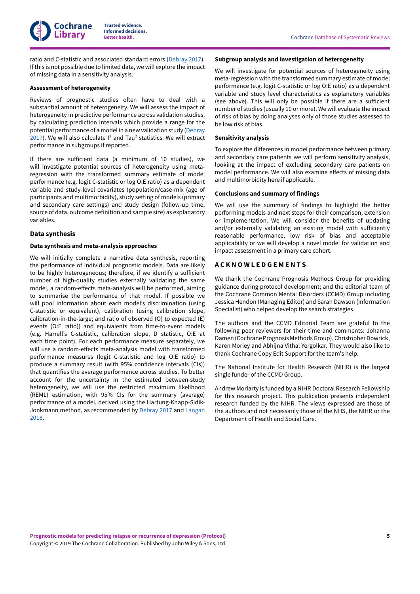ratio and C-statistic and associated standard errors [\(Debray](#page-7-17) 2017). If this is not possible due to limited data, we will explore the impact of missing data in a sensitivity analysis.

# **Assessment of heterogeneity**

Reviews of prognostic studies often have to deal with a substantial amount of heterogeneity. We will assess the impact of heterogeneity in predictive performance across validation studies, by calculating prediction intervals which provide a range for the potential performance of a model in a new validation study ([Debray](#page-7-17) [2017](#page-7-17)). We will also calculate  $I^2$  and Tau<sup>2</sup> statistics. We will extract performance in subgroups if reported.

If there are sufficient data (a minimum of 10 studies), we will investigate potential sources of heterogeneity using metaregression with the transformed summary estimate of model performance (e.g. logit C-statistic or log O:E ratio) as a dependent variable and study-level covariates (population/case-mix (age of participants and multimorbidity), study setting of models (primary and secondary care settings) and study design (follow-up time, source of data, outcome definition and sample size) as explanatory variables.

# **Data synthesis**

# **Data synthesis and meta-analysis approaches**

We will initially complete a narrative data synthesis, reporting the performance of individual prognostic models. Data are likely to be highly heterogeneous; therefore, if we identify a sufficient number of high-quality studies externally validating the same model, a random-effects meta-analysis will be performed, aiming to summarise the performance of that model. If possible we will pool information about each model's discrimination (using C-statistic or equivalent), calibration (using calibration slope, calibration-in-the-large; and ratio of observed (O) to expected (E) events (O:E ratio)) and equivalents from time-to-event models (e.g. Harrell's C-statistic, calibration slope, D statistic, O:E at each time point). For each performance measure separately, we will use a random-effects meta-analysis model with transformed performance measures (logit C-statistic and log O:E ratio) to produce a summary result (with 95% confidence intervals (CIs)) that quantifies the average performance across studies. To better account for the uncertainty in the estimated between-study heterogeneity, we will use the restricted maximum likelihood (REML) estimation, with 95% CIs for the summary (average) performance of a model, derived using the Hartung-Knapp-Sidik-Jonkmann method, as recommended by [Debray](#page-7-17) 2017 and [Langan](#page-7-18) [2018](#page-7-18).

#### **Subgroup analysis and investigation of heterogeneity**

We will investigate for potential sources of heterogeneity using meta-regression with the transformed summary estimate of model performance (e.g. logit C-statistic or log O:E ratio) as a dependent variable and study level characteristics as explanatory variables (see above). This will only be possible if there are a sufficient number of studies (usually 10 or more). We will evaluate the impact of risk of bias by doing analyses only of those studies assessed to be low risk of bias.

# **Sensitivity analysis**

To explore the differences in model performance between primary and secondary care patients we will perform sensitivity analysis, looking at the impact of excluding secondary care patients on model performance. We will also examine effects of missing data and multimorbidity here if applicable.

#### **Conclusions and summary of findings**

We will use the summary of findings to highlight the better performing models and next steps for their comparison, extension or implementation. We will consider the benefits of updating and/or externally validating an existing model with sufficiently reasonable performance, low risk of bias and acceptable applicability or we will develop a novel model for validation and impact assessment in a primary care cohort.

# <span id="page-6-0"></span>**A C K N O W L E D G E M E N T S**

We thank the Cochrane Prognosis Methods Group for providing guidance during protocol development; and the editorial team of the Cochrane Common Mental Disorders (CCMD) Group including Jessica Hendon (Managing Editor) and Sarah Dawson (Information Specialist) who helped develop the search strategies.

The authors and the CCMD Editorial Team are grateful to the following peer reviewers for their time and comments: Johanna Damen (Cochrane Prognosis Methods Group), Christopher Dowrick, Karen Morley and Abhijna Vithal Yergolkar. They would also like to thank Cochrane Copy Edit Support for the team's help.

The National Institute for Health Research (NIHR) is the largest single funder of the CCMD Group.

Andrew Moriarty is funded by a NIHR Doctoral Research Fellowship for this research project. This publication presents independent research funded by the NIHR. The views expressed are those of the authors and not necessarily those of the NHS, the NIHR or the Department of Health and Social Care.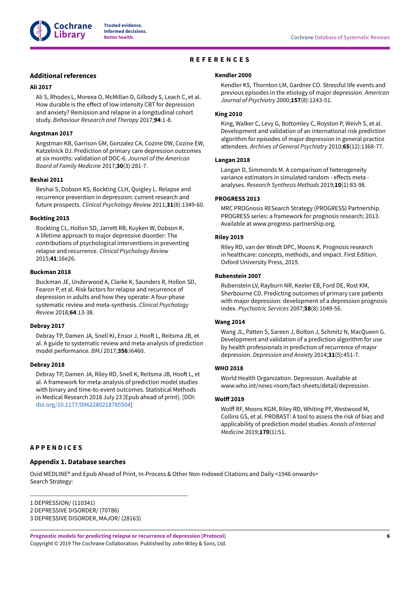

# **REFERENCES**

# <span id="page-7-0"></span>**Additional references**

# <span id="page-7-3"></span>**Ali 2017**

Ali S, Rhodes L, Moreea O, McMillan D, Gilbody S, Leach C, et al. How durable is the effect of low intensity CBT for depression and anxiety? Remission and relapse in a longitudinal cohort study. *Behaviour Research and Therapy* 2017;**94**:1-8.

#### <span id="page-7-10"></span>**Angstman 2017**

Angstman KB, Garrison GM, Gonzalez CA, Cozine DW, Cozine EW, Katzelnick DJ. Prediction of primary care depression outcomes at six months: validation of DOC-6. *Journal of the American Board of Family Medicine* 2017;**30**(3):281-7.

#### <span id="page-7-4"></span>**Beshai 2011**

Beshai S, Dobson KS, Bockting CLH, Quigley L. Relapse and recurrence prevention in depression: current research and future prospects. *Clinical Psychology Review* 2011;**31**(8):1349-60.

#### <span id="page-7-5"></span>**Bockting 2015**

Bockting CL, Hollon SD, Jarrett RB, Kuyken W, Dobson K. A lifetime approach to major depressive disorder: The contributions of psychological interventions in preventing relapse and recurrence. *Clinical Psychology Review* 2015;**41**:16e26.

#### <span id="page-7-9"></span>**Buckman 2018**

Buckman JE, Underwood A, Clarke K, Saunders R, Hollon SD, Fearon P, et al. Risk factors for relapse and recurrence of depression in adults and how they operate: A four-phase systematic review and meta-synthesis. *Clinical Psychology Review* 2018;**64**:13-38.

#### <span id="page-7-17"></span>**Debray 2017**

Debray TP, Damen JA, Snell KI, Ensor J, Hooft L, Reitsma JB, et al. A guide to systematic review and meta-analysis of prediction model performance. *BMJ* 2017;**356**:i6460.

#### <span id="page-7-15"></span>**Debray 2018**

Debray TP, Damen JA, Riley RD, Snell K, Reitsma JB, Hooft L, et al. A framework for meta-analysis of prediction model studies with binary and time-to-event outcomes. Statistical Methods in Medical Research 2018 July 23 [Epub ahead of print]. [DOI: [doi.org/10.1177/0962280218785504](https://doi.org/doi.org%2F10.1177%2F0962280218785504)]

## <span id="page-7-8"></span>**Kendler 2000**

Kendler KS, Thornton LM, Gardner CO. Stressful life events and previous episodes in the etiology of major depression. *American Journal of Psychiatry* 2000;**157**(8):1243-51.

#### <span id="page-7-12"></span>**King 2010**

King, Walker C, Levy G, Bottomley C, Royston P, Weivh S, et al. Development and validation of an international risk prediction algorithm for episodes of major depression in general practice attendees. *Archives of General Psychiatry* 2010;**65**(12):1368-77.

#### <span id="page-7-18"></span>**Langan 2018**

Langan D, Simmonds M. A comparison of heterogeneity variance estimators in simulated random - effects meta analyses. *Research Synthesis Methods* 2019;**10**(1):83-98.

# <span id="page-7-6"></span>**PROGRESS 2013**

MRC PROGnosis RESearch Strategy (PROGRESS) Partnership. PROGRESS series: a framework for prognosis research; 2013. Available at www.progress-partnership.org.

#### <span id="page-7-7"></span>**Riley 2019**

Riley RD, van der Windt DPC, Moons K. Prognosis research in healthcare: concepts, methods, and impact. First Edition. Oxford University Press, 2019.

# <span id="page-7-11"></span>**Rubenstein 2007**

Rubenstein LV, Rayburn NR, Keeler EB, Ford DE, Rost KM, Sherbourne CD. Predicting outcomes of primary care patients with major depression: development of a depression prognosis index. *Psychiatric Services* 2007;**58**(8):1049-56.

#### <span id="page-7-13"></span>**Wang 2014**

Wang JL, Patten S, Sareen J, Bolton J, Schmitz N, MacQueen G. Development and validation of a prediction algorithm for use by health professionals in prediction of recurrence of major depression. *Depression and Anxiety* 2014;**31**(5):451-7.

## <span id="page-7-2"></span>**WHO 2018**

World Health Organization. Depression. Available at www.who.int/news-room/fact-sheets/detail/depression.

#### <span id="page-7-16"></span>**Wolff 2019**

Wolff RF, Moons KGM, Riley RD, Whiting PF, Westwood M, Collins GS, et al. PROBAST: A tool to assess the risk of bias and applicability of prediction model studies. *Annals of Internal Medicine* 2019;**170**(1):51.

# <span id="page-7-1"></span>**A P P E N D I C E S**

#### <span id="page-7-14"></span>**Appendix 1. Database searches**

Ovid MEDLINE® and Epub Ahead of Print, In-Process & Other Non-Indexed Citations and Daily <1946 onwards> Search Strategy:

-------------------------------------------------------------------------------- DEPRESSION/ (110341) DEPRESSIVE DISORDER/ (70786) DEPRESSIVE DISORDER, MAJOR/ (28163)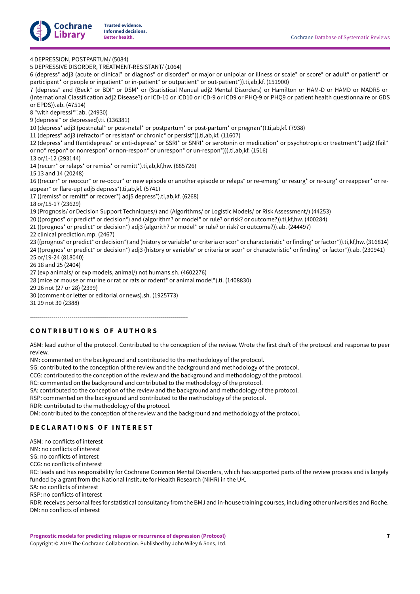

4 DEPRESSION, POSTPARTUM/ (5084)

5 DEPRESSIVE DISORDER, TREATMENT-RESISTANT/ (1064)

6 (depress\* adj3 (acute or clinical\* or diagnos\* or disorder\* or major or unipolar or illness or scale\* or score\* or adult\* or patient\* or participant\* or people or inpatient\* or in-patient\* or outpatient\* or out-patient\*)).ti,ab,kf. (151900)

7 (depress\* and (Beck\* or BDI\* or DSM\* or (Statistical Manual adj2 Mental Disorders) or Hamilton or HAM-D or HAMD or MADRS or (International Classification adj2 Disease?) or ICD-10 or ICD10 or ICD-9 or ICD9 or PHQ-9 or PHQ9 or patient health questionnaire or GDS or EPDS)).ab. (47514)

8 "with depressi\*".ab. (24930)

9 (depressi\* or depressed).ti. (136381)

10 (depress\* adj3 (postnatal\* or post-natal\* or postpartum\* or post-partum\* or pregnan\*)).ti,ab,kf. (7938)

11 (depress\* adj3 (refractor\* or resistan\* or chronic\* or persist\*)).ti,ab,kf. (11607)

12 (depress\* and ((antidepress\* or anti-depress\* or SSRI\* or SNRI\* or serotonin or medication\* or psychotropic or treatment\*) adj2 (fail\* or no\* respon\* or nonrespon\* or non-respon\* or unrespon\* or un-respon\*))).ti,ab,kf. (1516)

13 or/1-12 (293144)

14 (recurr\* or relaps\* or remiss\* or remitt\*).ti,ab,kf,hw. (885726)

15 13 and 14 (20248)

16 ((recurr\* or reoccur\* or re-occur\* or new episode or another episode or relaps\* or re-emerg\* or resurg\* or re-surg\* or reappear\* or reappear\* or flare-up) adj5 depress\*).ti,ab,kf. (5741)

17 ((remiss\* or remitt\* or recover\*) adj5 depress\*).ti,ab,kf. (6268)

18 or/15-17 (23629)

19 (Prognosis/ or Decision Support Techniques/) and (Algorithms/ or Logistic Models/ or Risk Assessment/) (44253)

20 ((prognos\* or predict\* or decision\*) and (algorithm? or model\* or rule? or risk? or outcome?)).ti,kf,hw. (400284)

21 ((prognos\* or predict\* or decision\*) adj3 (algorith? or model\* or rule? or risk? or outcome?)).ab. (244497)

22 clinical prediction.mp. (2467)

23 ((prognos\* or predict\* or decision\*) and (history or variable\* or criteria or scor\* or characteristic\* orfinding\* orfactor\*)).ti,kf,hw.(316814)

24 ((prognos\* or predict\* or decision\*) adj3 (history or variable\* or criteria or scor\* or characteristic\* or finding\* or factor\*)).ab. (230941)

25 or/19-24 (818040)

26 18 and 25 (2404)

27 (exp animals/ or exp models, animal/) not humans.sh. (4602276)

28 (mice or mouse or murine or rat or rats or rodent\* or animal model\*).ti. (1408830)

29 26 not (27 or 28) (2399)

30 (comment or letter or editorial or news).sh. (1925773)

31 29 not 30 (2388)

--------------------------------------------------------------------------------

# <span id="page-8-0"></span>**C O N T R I B U T I O N S O F A U T H O R S**

ASM: lead author of the protocol. Contributed to the conception of the review. Wrote the first draft of the protocol and response to peer review.

NM: commented on the background and contributed to the methodology of the protocol.

SG: contributed to the conception of the review and the background and methodology of the protocol.

CCG: contributed to the conception of the review and the background and methodology of the protocol.

RC: commented on the background and contributed to the methodology of the protocol.

SA: contributed to the conception of the review and the background and methodology of the protocol.

RSP: commented on the background and contributed to the methodology of the protocol.

RDR: contributed to the methodology of the protocol.

DM: contributed to the conception of the review and the background and methodology of the protocol.

# <span id="page-8-1"></span>**D E C L A R A T I O N S O F I N T E R E S T**

ASM: no conflicts of interest NM: no conflicts of interest SG: no conflicts of interest CCG: no conflicts of interest RC: leads and has responsibility for Cochrane Common Mental Disorders, which has supported parts of the review process and is largely funded by a grant from the National Institute for Health Research (NIHR) in the UK. SA: no conflicts of interest RSP: no conflicts of interest RDR:receives personal fees for statistical consultancy from the BMJ and in-house training courses, including other universities and Roche. DM: no conflicts of interest